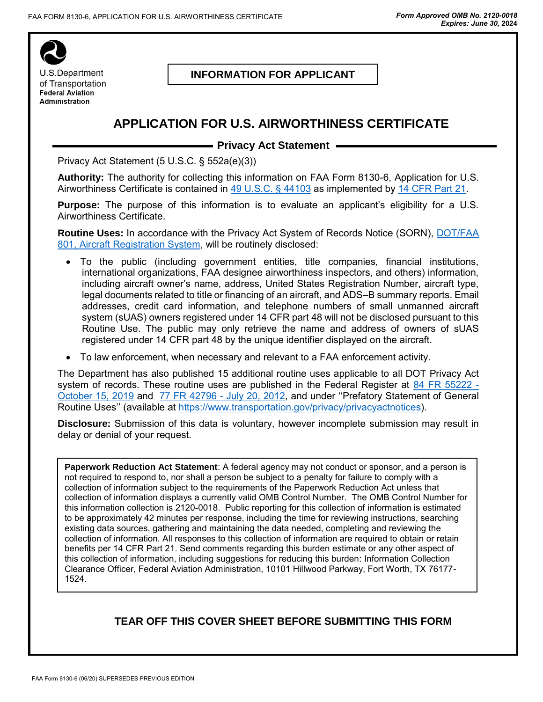

## **INFORMATION FOR APPLICANT**

# **APPLICATION FOR U.S. AIRWORTHINESS CERTIFICATE**

### **- Privacy Act Statement -**

Privacy Act Statement (5 U.S.C. § 552a(e)(3))

**Authority:** The authority for collecting this information on FAA Form 8130-6, Application for U.S. Airworthiness Certificate is contained in [49 U.S.C. § 44103](https://www.law.cornell.edu/uscode/text/49/44103) as implemented by [14 CFR Part 21.](https://www.law.cornell.edu/cfr/text/14/part-21)

**Purpose:** The purpose of this information is to evaluate an applicant's eligibility for a U.S. Airworthiness Certificate.

**Routine Uses:** In accordance with the Privacy Act System of Records Notice (SORN), [DOT/FAA](https://www.govinfo.gov/content/pkg/FR-2016-08-15/pdf/2016-19354.pdf)  [801, Aircraft Registration System,](https://www.govinfo.gov/content/pkg/FR-2016-08-15/pdf/2016-19354.pdf) will be routinely disclosed:

- To the public (including government entities, title companies, financial institutions, international organizations, FAA designee airworthiness inspectors, and others) information, including aircraft owner's name, address, United States Registration Number, aircraft type, legal documents related to title or financing of an aircraft, and ADS–B summary reports. Email addresses, credit card information, and telephone numbers of small unmanned aircraft system (sUAS) owners registered under 14 CFR part 48 will not be disclosed pursuant to this Routine Use. The public may only retrieve the name and address of owners of sUAS registered under 14 CFR part 48 by the unique identifier displayed on the aircraft.
- To law enforcement, when necessary and relevant to a FAA enforcement activity.

The Department has also published 15 additional routine uses applicable to all DOT Privacy Act system of records. These routine uses are published in the Federal Register at  $84$  FR  $55222 -$ [October 15, 2019](https://www.federalregister.gov/documents/2019/10/15/2019-22398/privacy-act-of-1974-system-of-records-amendment-of-a-general-routine-use) and [77 FR 42796 -](https://www.federalregister.gov/documents/2012/07/20/2012-17697/privacy-act-of-1974-system-of-records-statement-of-general-routine-uses-notice-of-establishment-of) July 20, 2012, and under ''Prefatory Statement of General Routine Uses'' (available at [https://www.transportation.gov/privacy/privacyactnotices\)](https://www.transportation.gov/individuals/privacy/privacy-act-system-records-notices).

**Disclosure:** Submission of this data is voluntary, however incomplete submission may result in delay or denial of your request.

**Paperwork Reduction Act Statement**: A federal agency may not conduct or sponsor, and a person is not required to respond to, nor shall a person be subject to a penalty for failure to comply with a collection of information subject to the requirements of the Paperwork Reduction Act unless that collection of information displays a currently valid OMB Control Number. The OMB Control Number for this information collection is 2120-0018. Public reporting for this collection of information is estimated to be approximately 42 minutes per response, including the time for reviewing instructions, searching existing data sources, gathering and maintaining the data needed, completing and reviewing the collection of information. All responses to this collection of information are required to obtain or retain benefits per 14 CFR Part 21. Send comments regarding this burden estimate or any other aspect of this collection of information, including suggestions for reducing this burden: Information Collection Clearance Officer, Federal Aviation Administration, 10101 Hillwood Parkway, Fort Worth, TX 76177- 1524.

## **TEAR OFF THIS COVER SHEET BEFORE SUBMITTING THIS FORM**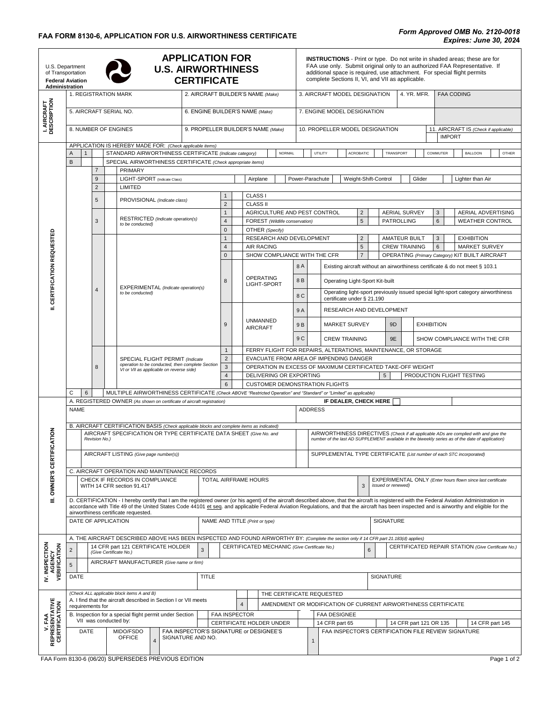| <b>APPLICATION FOR</b><br>U.S. Department<br><b>U.S. AIRWORTHINESS</b><br>of Transportation<br><b>CERTIFICATE</b><br><b>Federal Aviation</b><br>Administration |                                                                                                                                                                  |  |                |                                                       |                                                                                              |  | <b>INSTRUCTIONS</b> - Print or type. Do not write in shaded areas; these are for<br>FAA use only. Submit original only to an authorized FAA Representative. If<br>additional space is required, use attachment. For special flight permits<br>complete Sections II, VI, and VII as applicable.<br><b>FAA CODING</b> |                                                                                                                   |                                |                                                                                      |                                                                                   |                                              |                                                                                                                                                                                                                  |                                                                                                                                                                                               |                                                                                              |                                            |                                                        |                                              |                              |  |                                                                                                  |  |                                                                                                                                                                                                |  |
|----------------------------------------------------------------------------------------------------------------------------------------------------------------|------------------------------------------------------------------------------------------------------------------------------------------------------------------|--|----------------|-------------------------------------------------------|----------------------------------------------------------------------------------------------|--|---------------------------------------------------------------------------------------------------------------------------------------------------------------------------------------------------------------------------------------------------------------------------------------------------------------------|-------------------------------------------------------------------------------------------------------------------|--------------------------------|--------------------------------------------------------------------------------------|-----------------------------------------------------------------------------------|----------------------------------------------|------------------------------------------------------------------------------------------------------------------------------------------------------------------------------------------------------------------|-----------------------------------------------------------------------------------------------------------------------------------------------------------------------------------------------|----------------------------------------------------------------------------------------------|--------------------------------------------|--------------------------------------------------------|----------------------------------------------|------------------------------|--|--------------------------------------------------------------------------------------------------|--|------------------------------------------------------------------------------------------------------------------------------------------------------------------------------------------------|--|
| I. AIRCRAFT<br>DESCRIPTION                                                                                                                                     | 1. REGISTRATION MARK                                                                                                                                             |  |                |                                                       |                                                                                              |  | 2. AIRCRAFT BUILDER'S NAME (Make)                                                                                                                                                                                                                                                                                   |                                                                                                                   |                                |                                                                                      |                                                                                   | 3. AIRCRAFT MODEL DESIGNATION<br>4. YR. MFR. |                                                                                                                                                                                                                  |                                                                                                                                                                                               |                                                                                              |                                            |                                                        |                                              |                              |  |                                                                                                  |  |                                                                                                                                                                                                |  |
|                                                                                                                                                                | 5. AIRCRAFT SERIAL NO.                                                                                                                                           |  |                |                                                       |                                                                                              |  |                                                                                                                                                                                                                                                                                                                     | 6. ENGINE BUILDER'S NAME (Make)                                                                                   |                                |                                                                                      |                                                                                   |                                              | 7. ENGINE MODEL DESIGNATION                                                                                                                                                                                      |                                                                                                                                                                                               |                                                                                              |                                            |                                                        |                                              |                              |  |                                                                                                  |  |                                                                                                                                                                                                |  |
|                                                                                                                                                                | 8. NUMBER OF ENGINES                                                                                                                                             |  |                |                                                       |                                                                                              |  |                                                                                                                                                                                                                                                                                                                     | 9. PROPELLER BUILDER'S NAME (Make)                                                                                |                                |                                                                                      |                                                                                   | 10. PROPELLER MODEL DESIGNATION              |                                                                                                                                                                                                                  |                                                                                                                                                                                               |                                                                                              |                                            | 11. AIRCRAFT IS (Check if applicable)<br><b>IMPORT</b> |                                              |                              |  |                                                                                                  |  |                                                                                                                                                                                                |  |
|                                                                                                                                                                | APPLICATION IS HEREBY MADE FOR: (Check applicable items)<br>STANDARD AIRWORTHINESS CERTIFICATE (Indicate category)<br>Α<br>$\mathbf{1}$                          |  |                |                                                       |                                                                                              |  | NORMAL                                                                                                                                                                                                                                                                                                              |                                                                                                                   |                                |                                                                                      | UTILITY<br><b>ACROBATIC</b><br>TRANSPORT                                          |                                              |                                                                                                                                                                                                                  |                                                                                                                                                                                               |                                                                                              | COMMUTER<br><b>BALLOON</b><br><b>OTHER</b> |                                                        |                                              |                              |  |                                                                                                  |  |                                                                                                                                                                                                |  |
|                                                                                                                                                                | SPECIAL AIRWORTHINESS CERTIFICATE (Check appropriate items)<br>B                                                                                                 |  |                |                                                       |                                                                                              |  |                                                                                                                                                                                                                                                                                                                     |                                                                                                                   |                                |                                                                                      |                                                                                   |                                              |                                                                                                                                                                                                                  |                                                                                                                                                                                               |                                                                                              |                                            |                                                        |                                              |                              |  |                                                                                                  |  |                                                                                                                                                                                                |  |
|                                                                                                                                                                |                                                                                                                                                                  |  | 9              | <b>PRIMARY</b><br>LIGHT-SPORT (Indicate Class)        |                                                                                              |  |                                                                                                                                                                                                                                                                                                                     |                                                                                                                   |                                |                                                                                      | Airplane                                                                          |                                              | Power-Parachute<br>Weight-Shift-Control<br>Glider<br>Lighter than Air                                                                                                                                            |                                                                                                                                                                                               |                                                                                              |                                            |                                                        |                                              |                              |  |                                                                                                  |  |                                                                                                                                                                                                |  |
|                                                                                                                                                                |                                                                                                                                                                  |  | $\overline{2}$ | LIMITED                                               |                                                                                              |  |                                                                                                                                                                                                                                                                                                                     |                                                                                                                   |                                |                                                                                      |                                                                                   |                                              |                                                                                                                                                                                                                  |                                                                                                                                                                                               |                                                                                              |                                            |                                                        |                                              |                              |  |                                                                                                  |  |                                                                                                                                                                                                |  |
|                                                                                                                                                                |                                                                                                                                                                  |  | 5              |                                                       | PROVISIONAL (Indicate class)                                                                 |  |                                                                                                                                                                                                                                                                                                                     |                                                                                                                   |                                | CLASS I                                                                              |                                                                                   |                                              |                                                                                                                                                                                                                  |                                                                                                                                                                                               |                                                                                              |                                            |                                                        |                                              |                              |  |                                                                                                  |  |                                                                                                                                                                                                |  |
|                                                                                                                                                                |                                                                                                                                                                  |  |                |                                                       |                                                                                              |  |                                                                                                                                                                                                                                                                                                                     |                                                                                                                   | $\overline{2}$<br>$\mathbf{1}$ |                                                                                      | <b>CLASS II</b><br>AGRICULTURE AND PEST CONTROL<br>FOREST (Wildlife conservation) |                                              | $\overline{2}$                                                                                                                                                                                                   |                                                                                                                                                                                               |                                                                                              |                                            | <b>AERIAL SURVEY</b>                                   |                                              |                              |  | 3                                                                                                |  | AERIAL ADVERTISING                                                                                                                                                                             |  |
|                                                                                                                                                                |                                                                                                                                                                  |  | 3              | RESTRICTED (Indicate operation(s)<br>to be conducted) |                                                                                              |  |                                                                                                                                                                                                                                                                                                                     |                                                                                                                   | $\overline{4}$                 |                                                                                      |                                                                                   |                                              |                                                                                                                                                                                                                  |                                                                                                                                                                                               |                                                                                              | 5                                          |                                                        |                                              | <b>PATROLLING</b>            |  | 6                                                                                                |  | <b>WEATHER CONTROL</b>                                                                                                                                                                         |  |
|                                                                                                                                                                |                                                                                                                                                                  |  |                |                                                       |                                                                                              |  |                                                                                                                                                                                                                                                                                                                     |                                                                                                                   | $\mathbf 0$                    |                                                                                      | OTHER (Specify)                                                                   |                                              |                                                                                                                                                                                                                  |                                                                                                                                                                                               |                                                                                              |                                            |                                                        |                                              |                              |  | 3<br>$\,6$                                                                                       |  |                                                                                                                                                                                                |  |
|                                                                                                                                                                |                                                                                                                                                                  |  |                |                                                       |                                                                                              |  |                                                                                                                                                                                                                                                                                                                     |                                                                                                                   | $\mathbf{1}$<br>$\overline{4}$ |                                                                                      | RESEARCH AND DEVELOPMENT<br><b>AIR RACING</b><br>SHOW COMPLIANCE WITH THE CFR     |                                              |                                                                                                                                                                                                                  |                                                                                                                                                                                               |                                                                                              | $\overline{2}$<br>5                        |                                                        | <b>AMATEUR BUILT</b><br><b>CREW TRAINING</b> |                              |  |                                                                                                  |  | <b>EXHIBITION</b><br><b>MARKET SURVEY</b>                                                                                                                                                      |  |
|                                                                                                                                                                |                                                                                                                                                                  |  |                |                                                       |                                                                                              |  |                                                                                                                                                                                                                                                                                                                     | $\mathbf 0$                                                                                                       |                                | $\overline{7}$                                                                       |                                                                                   |                                              |                                                                                                                                                                                                                  |                                                                                                                                                                                               |                                                                                              |                                            |                                                        |                                              |                              |  | OPERATING (Primary Category) KIT BUILT AIRCRAFT                                                  |  |                                                                                                                                                                                                |  |
|                                                                                                                                                                |                                                                                                                                                                  |  |                |                                                       |                                                                                              |  |                                                                                                                                                                                                                                                                                                                     |                                                                                                                   |                                |                                                                                      |                                                                                   |                                              | 8A                                                                                                                                                                                                               |                                                                                                                                                                                               | Existing aircraft without an airworthiness certificate & do not meet § 103.1                 |                                            |                                                        |                                              |                              |  |                                                                                                  |  |                                                                                                                                                                                                |  |
| <b>CERTIFICATION REQUESTED</b>                                                                                                                                 |                                                                                                                                                                  |  | 4              |                                                       | EXPERIMENTAL (Indicate operation(s)<br>to be conducted)                                      |  |                                                                                                                                                                                                                                                                                                                     |                                                                                                                   | 8                              |                                                                                      | <b>OPERATING</b><br>LIGHT-SPORT                                                   |                                              | 8B                                                                                                                                                                                                               |                                                                                                                                                                                               | Operating Light-Sport Kit-built                                                              |                                            |                                                        |                                              |                              |  |                                                                                                  |  |                                                                                                                                                                                                |  |
|                                                                                                                                                                |                                                                                                                                                                  |  |                |                                                       |                                                                                              |  |                                                                                                                                                                                                                                                                                                                     |                                                                                                                   |                                |                                                                                      |                                                                                   | 8 C                                          |                                                                                                                                                                                                                  | Operating light-sport previously issued special light-sport category airworthiness<br>certificate under § 21.190                                                                              |                                                                                              |                                            |                                                        |                                              |                              |  |                                                                                                  |  |                                                                                                                                                                                                |  |
| Ξ                                                                                                                                                              |                                                                                                                                                                  |  |                |                                                       |                                                                                              |  |                                                                                                                                                                                                                                                                                                                     |                                                                                                                   |                                |                                                                                      |                                                                                   |                                              | 9 A                                                                                                                                                                                                              |                                                                                                                                                                                               | <b>RESEARCH AND DEVELOPMENT</b>                                                              |                                            |                                                        |                                              |                              |  |                                                                                                  |  |                                                                                                                                                                                                |  |
|                                                                                                                                                                |                                                                                                                                                                  |  |                |                                                       |                                                                                              |  |                                                                                                                                                                                                                                                                                                                     | 9                                                                                                                 |                                | <b>UNMANNED</b><br><b>AIRCRAFT</b>                                                   |                                                                                   | 9 B                                          |                                                                                                                                                                                                                  | <b>MARKET SURVEY</b>                                                                                                                                                                          |                                                                                              |                                            | 9D                                                     |                                              | <b>EXHIBITION</b>            |  |                                                                                                  |  |                                                                                                                                                                                                |  |
|                                                                                                                                                                |                                                                                                                                                                  |  |                |                                                       |                                                                                              |  |                                                                                                                                                                                                                                                                                                                     |                                                                                                                   | $\mathbf{1}$                   |                                                                                      |                                                                                   |                                              | 9 C                                                                                                                                                                                                              |                                                                                                                                                                                               | <b>CREW TRAINING</b><br>9E<br>FERRY FLIGHT FOR REPAIRS, ALTERATIONS, MAINTENANCE, OR STORAGE |                                            |                                                        |                                              | SHOW COMPLIANCE WITH THE CFR |  |                                                                                                  |  |                                                                                                                                                                                                |  |
|                                                                                                                                                                |                                                                                                                                                                  |  |                |                                                       | SPECIAL FLIGHT PERMIT (Indicate                                                              |  |                                                                                                                                                                                                                                                                                                                     | $\overline{2}$                                                                                                    |                                |                                                                                      |                                                                                   |                                              |                                                                                                                                                                                                                  | EVACUATE FROM AREA OF IMPENDING DANGER                                                                                                                                                        |                                                                                              |                                            |                                                        |                                              |                              |  |                                                                                                  |  |                                                                                                                                                                                                |  |
|                                                                                                                                                                |                                                                                                                                                                  |  | 8              |                                                       | operation to be conducted, then complete Section<br>VI or VII as applicable on reverse side) |  |                                                                                                                                                                                                                                                                                                                     |                                                                                                                   | $\mathbf{3}$                   |                                                                                      |                                                                                   |                                              |                                                                                                                                                                                                                  |                                                                                                                                                                                               | OPERATION IN EXCESS OF MAXIMUM CERTIFICATED TAKE-OFF WEIGHT                                  |                                            |                                                        |                                              |                              |  |                                                                                                  |  |                                                                                                                                                                                                |  |
|                                                                                                                                                                |                                                                                                                                                                  |  |                |                                                       |                                                                                              |  |                                                                                                                                                                                                                                                                                                                     |                                                                                                                   | $\overline{4}$<br>6            |                                                                                      | DELIVERING OR EXPORTING                                                           |                                              |                                                                                                                                                                                                                  |                                                                                                                                                                                               | <b>CUSTOMER DEMONSTRATION FLIGHTS</b>                                                        |                                            |                                                        | 5                                            |                              |  |                                                                                                  |  | PRODUCTION FLIGHT TESTING                                                                                                                                                                      |  |
|                                                                                                                                                                | C<br>6                                                                                                                                                           |  |                |                                                       |                                                                                              |  |                                                                                                                                                                                                                                                                                                                     | MULTIPLE AIRWORTHINESS CERTIFICATE (Check ABOVE "Restricted Operation" and "Standard" or "Limited" as applicable) |                                |                                                                                      |                                                                                   |                                              |                                                                                                                                                                                                                  |                                                                                                                                                                                               |                                                                                              |                                            |                                                        |                                              |                              |  |                                                                                                  |  |                                                                                                                                                                                                |  |
|                                                                                                                                                                | A. REGISTERED OWNER (As shown on certificate of aircraft registration)<br><b>NAME</b>                                                                            |  |                |                                                       |                                                                                              |  |                                                                                                                                                                                                                                                                                                                     |                                                                                                                   |                                |                                                                                      |                                                                                   |                                              | IF DEALER, CHECK HERE<br><b>ADDRESS</b>                                                                                                                                                                          |                                                                                                                                                                                               |                                                                                              |                                            |                                                        |                                              |                              |  |                                                                                                  |  |                                                                                                                                                                                                |  |
|                                                                                                                                                                |                                                                                                                                                                  |  |                |                                                       |                                                                                              |  |                                                                                                                                                                                                                                                                                                                     |                                                                                                                   |                                |                                                                                      |                                                                                   |                                              |                                                                                                                                                                                                                  |                                                                                                                                                                                               |                                                                                              |                                            |                                                        |                                              |                              |  |                                                                                                  |  |                                                                                                                                                                                                |  |
|                                                                                                                                                                | B. AIRCRAFT CERTIFICATION BASIS (Check applicable blocks and complete items as indicated)<br>AIRCRAFT SPECIFICATION OR TYPE CERTIFICATE DATA SHEET (Give No. and |  |                |                                                       |                                                                                              |  |                                                                                                                                                                                                                                                                                                                     |                                                                                                                   |                                | AIRWORTHINESS DIRECTIVES (Check if all applicable ADs are complied with and give the |                                                                                   |                                              |                                                                                                                                                                                                                  |                                                                                                                                                                                               |                                                                                              |                                            |                                                        |                                              |                              |  |                                                                                                  |  |                                                                                                                                                                                                |  |
|                                                                                                                                                                | Revision No.)                                                                                                                                                    |  |                |                                                       |                                                                                              |  |                                                                                                                                                                                                                                                                                                                     |                                                                                                                   |                                |                                                                                      |                                                                                   |                                              |                                                                                                                                                                                                                  |                                                                                                                                                                                               |                                                                                              |                                            |                                                        |                                              |                              |  | number of the last AD SUPPLEMENT available in the biweekly series as of the date of application) |  |                                                                                                                                                                                                |  |
| <b>CERTIFICATION</b>                                                                                                                                           | AIRCRAFT LISTING (Give page number(s))                                                                                                                           |  |                |                                                       |                                                                                              |  |                                                                                                                                                                                                                                                                                                                     |                                                                                                                   |                                |                                                                                      | SUPPLEMENTAL TYPE CERTIFICATE (List number of each STC incorporated)              |                                              |                                                                                                                                                                                                                  |                                                                                                                                                                                               |                                                                                              |                                            |                                                        |                                              |                              |  |                                                                                                  |  |                                                                                                                                                                                                |  |
|                                                                                                                                                                | C. AIRCRAFT OPERATION AND MAINTENANCE RECORDS                                                                                                                    |  |                |                                                       |                                                                                              |  |                                                                                                                                                                                                                                                                                                                     |                                                                                                                   |                                |                                                                                      |                                                                                   |                                              |                                                                                                                                                                                                                  |                                                                                                                                                                                               |                                                                                              |                                            |                                                        |                                              |                              |  |                                                                                                  |  |                                                                                                                                                                                                |  |
| OWNER'S                                                                                                                                                        | CHECK IF RECORDS IN COMPLIANCE<br>WITH 14 CFR section 91.417                                                                                                     |  |                |                                                       |                                                                                              |  |                                                                                                                                                                                                                                                                                                                     | TOTAL AIRFRAME HOURS                                                                                              |                                |                                                                                      |                                                                                   |                                              |                                                                                                                                                                                                                  | EXPERIMENTAL ONLY (Enter hours flown since last certificate<br>issued or renewed)<br>3                                                                                                        |                                                                                              |                                            |                                                        |                                              |                              |  |                                                                                                  |  |                                                                                                                                                                                                |  |
| Ξ                                                                                                                                                              |                                                                                                                                                                  |  |                |                                                       |                                                                                              |  |                                                                                                                                                                                                                                                                                                                     |                                                                                                                   |                                |                                                                                      |                                                                                   |                                              |                                                                                                                                                                                                                  |                                                                                                                                                                                               |                                                                                              |                                            |                                                        |                                              |                              |  |                                                                                                  |  | D. CERTIFICATION - I hereby certify that I am the registered owner (or his agent) of the aircraft described above, that the aircraft is registered with the Federal Aviation Administration in |  |
|                                                                                                                                                                |                                                                                                                                                                  |  |                |                                                       | airworthiness certificate requested.                                                         |  |                                                                                                                                                                                                                                                                                                                     |                                                                                                                   |                                |                                                                                      |                                                                                   |                                              | accordance with Title 49 of the United States Code 44101 et seg. and applicable Federal Aviation Regulations, and that the aircraft has been inspected and is airworthy and eligible for the<br><b>SIGNATURE</b> |                                                                                                                                                                                               |                                                                                              |                                            |                                                        |                                              |                              |  |                                                                                                  |  |                                                                                                                                                                                                |  |
|                                                                                                                                                                | DATE OF APPLICATION<br>NAME AND TITLE (Print or type)                                                                                                            |  |                |                                                       |                                                                                              |  |                                                                                                                                                                                                                                                                                                                     |                                                                                                                   |                                |                                                                                      |                                                                                   |                                              |                                                                                                                                                                                                                  |                                                                                                                                                                                               |                                                                                              |                                            |                                                        |                                              |                              |  |                                                                                                  |  |                                                                                                                                                                                                |  |
|                                                                                                                                                                |                                                                                                                                                                  |  |                |                                                       |                                                                                              |  |                                                                                                                                                                                                                                                                                                                     |                                                                                                                   |                                |                                                                                      |                                                                                   |                                              |                                                                                                                                                                                                                  | A. THE AIRCRAFT DESCRIBED ABOVE HAS BEEN INSPECTED AND FOUND AIRWORTHY BY: (Complete the section only if 14 CFR part 21.183(d) applies)<br>CERTIFICATED REPAIR STATION (Give Certificate No.) |                                                                                              |                                            |                                                        |                                              |                              |  |                                                                                                  |  |                                                                                                                                                                                                |  |
| <b>IV. INSPECTION<br/>AGENCY<br/>VERIFICATION</b>                                                                                                              | 14 CFR part 121 CERTIFICATE HOLDER<br>2<br>(Give Certificate No.)                                                                                                |  |                |                                                       |                                                                                              |  |                                                                                                                                                                                                                                                                                                                     | CERTIFICATED MECHANIC (Give Certificate No.)<br>$\overline{3}$<br>$\,6\,$                                         |                                |                                                                                      |                                                                                   |                                              |                                                                                                                                                                                                                  |                                                                                                                                                                                               |                                                                                              |                                            |                                                        |                                              |                              |  |                                                                                                  |  |                                                                                                                                                                                                |  |
|                                                                                                                                                                | AIRCRAFT MANUFACTURER (Give name or firm)                                                                                                                        |  |                |                                                       |                                                                                              |  |                                                                                                                                                                                                                                                                                                                     |                                                                                                                   |                                |                                                                                      |                                                                                   |                                              |                                                                                                                                                                                                                  |                                                                                                                                                                                               |                                                                                              |                                            |                                                        |                                              |                              |  |                                                                                                  |  |                                                                                                                                                                                                |  |
|                                                                                                                                                                | DATE<br><b>TITLE</b><br><b>SIGNATURE</b>                                                                                                                         |  |                |                                                       |                                                                                              |  |                                                                                                                                                                                                                                                                                                                     |                                                                                                                   |                                |                                                                                      |                                                                                   |                                              |                                                                                                                                                                                                                  |                                                                                                                                                                                               |                                                                                              |                                            |                                                        |                                              |                              |  |                                                                                                  |  |                                                                                                                                                                                                |  |
|                                                                                                                                                                | (Check ALL applicable block items A and B)<br>A. I find that the aircraft described in Section I or VII meets                                                    |  |                |                                                       |                                                                                              |  |                                                                                                                                                                                                                                                                                                                     |                                                                                                                   |                                |                                                                                      |                                                                                   | THE CERTIFICATE REQUESTED                    |                                                                                                                                                                                                                  |                                                                                                                                                                                               |                                                                                              |                                            |                                                        |                                              |                              |  |                                                                                                  |  |                                                                                                                                                                                                |  |
|                                                                                                                                                                | $\overline{4}$<br>requirements for                                                                                                                               |  |                |                                                       |                                                                                              |  |                                                                                                                                                                                                                                                                                                                     |                                                                                                                   |                                |                                                                                      | AMENDMENT OR MODIFICATION OF CURRENT AIRWORTHINESS CERTIFICATE                    |                                              |                                                                                                                                                                                                                  |                                                                                                                                                                                               |                                                                                              |                                            |                                                        |                                              |                              |  |                                                                                                  |  |                                                                                                                                                                                                |  |
|                                                                                                                                                                | B. Inspection for a special flight permit under Section<br>VII was conducted by:                                                                                 |  |                |                                                       |                                                                                              |  |                                                                                                                                                                                                                                                                                                                     | FAA INSPECTOR<br>CERTIFICATE HOLDER UNDER                                                                         |                                |                                                                                      |                                                                                   |                                              | <b>FAA DESIGNEE</b><br>14 CFR part 65<br>14 CFR part 121 OR 135<br>14 CFR part 145                                                                                                                               |                                                                                                                                                                                               |                                                                                              |                                            |                                                        |                                              |                              |  |                                                                                                  |  |                                                                                                                                                                                                |  |
| <b>V. FAA<br/>EPRESENTATIVE<br/>CERTIFICATION</b><br>핉히                                                                                                        | <b>DATE</b><br>MIDO/FSDO<br><b>OFFICE</b><br>$\overline{4}$                                                                                                      |  |                |                                                       |                                                                                              |  | FAA INSPECTOR'S SIGNATURE or DESIGNEE'S<br>SIGNATURE AND NO.                                                                                                                                                                                                                                                        |                                                                                                                   |                                |                                                                                      |                                                                                   |                                              | $\mathbf{1}$                                                                                                                                                                                                     | FAA INSPECTOR'S CERTIFICATION FILE REVIEW SIGNATURE                                                                                                                                           |                                                                                              |                                            |                                                        |                                              |                              |  |                                                                                                  |  |                                                                                                                                                                                                |  |
|                                                                                                                                                                |                                                                                                                                                                  |  |                |                                                       |                                                                                              |  |                                                                                                                                                                                                                                                                                                                     |                                                                                                                   |                                |                                                                                      |                                                                                   |                                              |                                                                                                                                                                                                                  |                                                                                                                                                                                               |                                                                                              |                                            |                                                        |                                              |                              |  |                                                                                                  |  |                                                                                                                                                                                                |  |